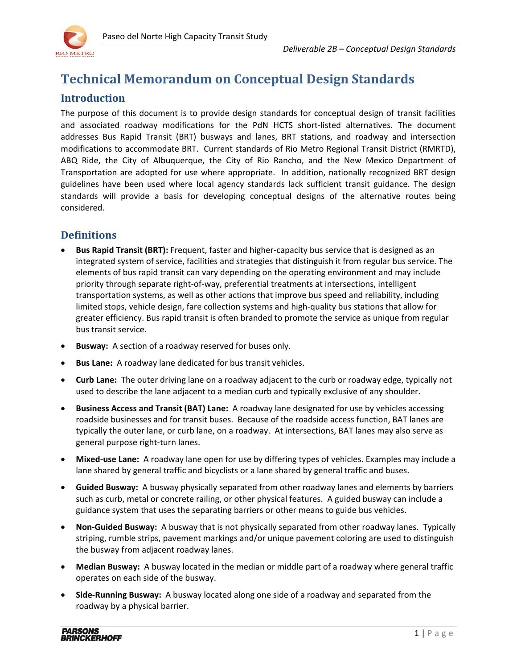

# **Technical Memorandum on Conceptual Design Standards**

## **Introduction**

The purpose of this document is to provide design standards for conceptual design of transit facilities and associated roadway modifications for the PdN HCTS short-listed alternatives. The document addresses Bus Rapid Transit (BRT) busways and lanes, BRT stations, and roadway and intersection modifications to accommodate BRT. Current standards of Rio Metro Regional Transit District (RMRTD), ABQ Ride, the City of Albuquerque, the City of Rio Rancho, and the New Mexico Department of Transportation are adopted for use where appropriate. In addition, nationally recognized BRT design guidelines have been used where local agency standards lack sufficient transit guidance. The design standards will provide a basis for developing conceptual designs of the alternative routes being considered.

## **Definitions**

- **Bus Rapid Transit (BRT):** Frequent, faster and higher-capacity bus service that is designed as an integrated system of service, facilities and strategies that distinguish it from regular bus service. The elements of bus rapid transit can vary depending on the operating environment and may include priority through separate right-of-way, preferential treatments at intersections, intelligent transportation systems, as well as other actions that improve bus speed and reliability, including limited stops, vehicle design, fare collection systems and high-quality bus stations that allow for greater efficiency. Bus rapid transit is often branded to promote the service as unique from regular bus transit service.
- **Busway:** A section of a roadway reserved for buses only.
- **Bus Lane:** A roadway lane dedicated for bus transit vehicles.
- **Curb Lane:** The outer driving lane on a roadway adjacent to the curb or roadway edge, typically not used to describe the lane adjacent to a median curb and typically exclusive of any shoulder.
- **Business Access and Transit (BAT) Lane:** A roadway lane designated for use by vehicles accessing roadside businesses and for transit buses. Because of the roadside access function, BAT lanes are typically the outer lane, or curb lane, on a roadway. At intersections, BAT lanes may also serve as general purpose right-turn lanes.
- **Mixed-use Lane:** A roadway lane open for use by differing types of vehicles. Examples may include a lane shared by general traffic and bicyclists or a lane shared by general traffic and buses.
- **Guided Busway:** A busway physically separated from other roadway lanes and elements by barriers such as curb, metal or concrete railing, or other physical features. A guided busway can include a guidance system that uses the separating barriers or other means to guide bus vehicles.
- **Non-Guided Busway:** A busway that is not physically separated from other roadway lanes. Typically striping, rumble strips, pavement markings and/or unique pavement coloring are used to distinguish the busway from adjacent roadway lanes.
- **Median Busway:** A busway located in the median or middle part of a roadway where general traffic operates on each side of the busway.
- **Side-Running Busway:** A busway located along one side of a roadway and separated from the roadway by a physical barrier.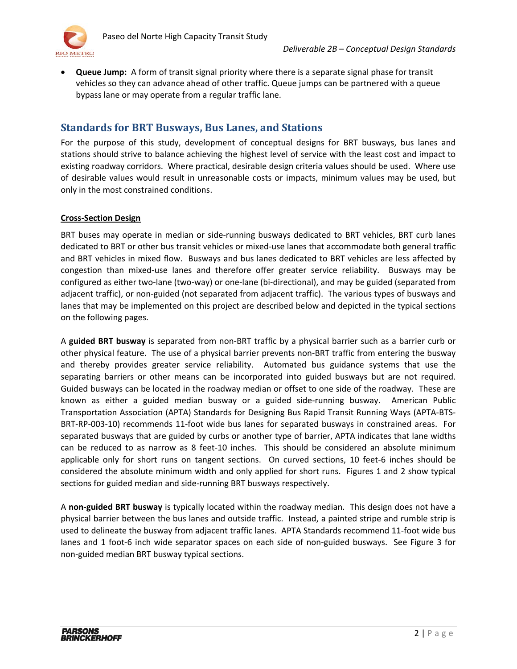

• **Queue Jump:** A form of transit signal priority where there is a separate signal phase for transit vehicles so they can advance ahead of other traffic. Queue jumps can be partnered with a queue bypass lane or may operate from a regular traffic lane.

## **Standards for BRT Busways, Bus Lanes, and Stations**

For the purpose of this study, development of conceptual designs for BRT busways, bus lanes and stations should strive to balance achieving the highest level of service with the least cost and impact to existing roadway corridors. Where practical, desirable design criteria values should be used. Where use of desirable values would result in unreasonable costs or impacts, minimum values may be used, but only in the most constrained conditions.

## **Cross-Section Design**

BRT buses may operate in median or side-running busways dedicated to BRT vehicles, BRT curb lanes dedicated to BRT or other bus transit vehicles or mixed-use lanes that accommodate both general traffic and BRT vehicles in mixed flow. Busways and bus lanes dedicated to BRT vehicles are less affected by congestion than mixed-use lanes and therefore offer greater service reliability. Busways may be configured as either two-lane (two-way) or one-lane (bi-directional), and may be guided (separated from adjacent traffic), or non-guided (not separated from adjacent traffic). The various types of busways and lanes that may be implemented on this project are described below and depicted in the typical sections on the following pages.

A **guided BRT busway** is separated from non-BRT traffic by a physical barrier such as a barrier curb or other physical feature. The use of a physical barrier prevents non-BRT traffic from entering the busway and thereby provides greater service reliability. Automated bus guidance systems that use the separating barriers or other means can be incorporated into guided busways but are not required. Guided busways can be located in the roadway median or offset to one side of the roadway. These are known as either a guided median busway or a guided side-running busway. American Public Transportation Association (APTA) Standards for Designing Bus Rapid Transit Running Ways (APTA-BTS-BRT-RP-003-10) recommends 11-foot wide bus lanes for separated busways in constrained areas. For separated busways that are guided by curbs or another type of barrier, APTA indicates that lane widths can be reduced to as narrow as 8 feet-10 inches. This should be considered an absolute minimum applicable only for short runs on tangent sections. On curved sections, 10 feet-6 inches should be considered the absolute minimum width and only applied for short runs. Figures 1 and 2 show typical sections for guided median and side-running BRT busways respectively.

A **non-guided BRT busway** is typically located within the roadway median. This design does not have a physical barrier between the bus lanes and outside traffic. Instead, a painted stripe and rumble strip is used to delineate the busway from adjacent traffic lanes. APTA Standards recommend 11-foot wide bus lanes and 1 foot-6 inch wide separator spaces on each side of non-guided busways. See Figure 3 for non-guided median BRT busway typical sections.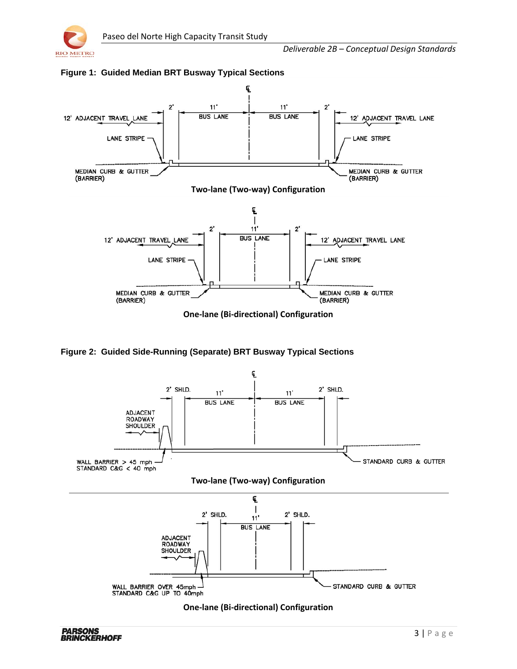



**Figure 1: Guided Median BRT Busway Typical Sections**

**Figure 2: Guided Side-Running (Separate) BRT Busway Typical Sections**

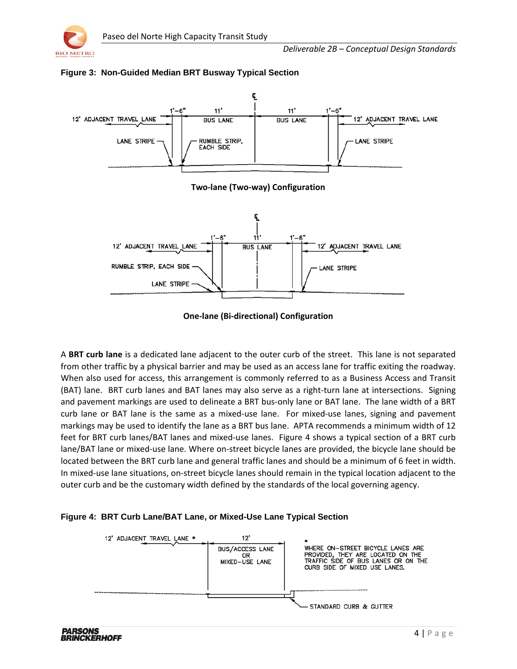



## **Figure 3: Non-Guided Median BRT Busway Typical Section**

**One-lane (Bi-directional) Configuration**

A **BRT curb lane** is a dedicated lane adjacent to the outer curb of the street. This lane is not separated from other traffic by a physical barrier and may be used as an access lane for traffic exiting the roadway. When also used for access, this arrangement is commonly referred to as a Business Access and Transit (BAT) lane. BRT curb lanes and BAT lanes may also serve as a right-turn lane at intersections. Signing and pavement markings are used to delineate a BRT bus-only lane or BAT lane. The lane width of a BRT curb lane or BAT lane is the same as a mixed-use lane. For mixed-use lanes, signing and pavement markings may be used to identify the lane as a BRT bus lane. APTA recommends a minimum width of 12 feet for BRT curb lanes/BAT lanes and mixed-use lanes. Figure 4 shows a typical section of a BRT curb lane/BAT lane or mixed-use lane. Where on-street bicycle lanes are provided, the bicycle lane should be located between the BRT curb lane and general traffic lanes and should be a minimum of 6 feet in width. In mixed-use lane situations, on-street bicycle lanes should remain in the typical location adjacent to the outer curb and be the customary width defined by the standards of the local governing agency.

## **Figure 4: BRT Curb Lane/BAT Lane, or Mixed-Use Lane Typical Section**

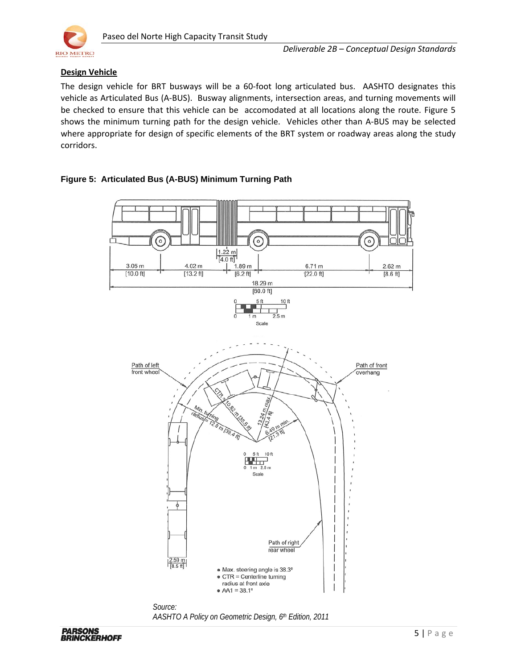

## **Design Vehicle**

The design vehicle for BRT busways will be a 60-foot long articulated bus. AASHTO designates this vehicle as Articulated Bus (A-BUS). Busway alignments, intersection areas, and turning movements will be checked to ensure that this vehicle can be accomodated at all locations along the route. Figure 5 shows the minimum turning path for the design vehicle. Vehicles other than A-BUS may be selected where appropriate for design of specific elements of the BRT system or roadway areas along the study corridors.



## **Figure 5: Articulated Bus (A-BUS) Minimum Turning Path**

*Source: AASHTO A Policy on Geometric Design, 6th Edition, 2011*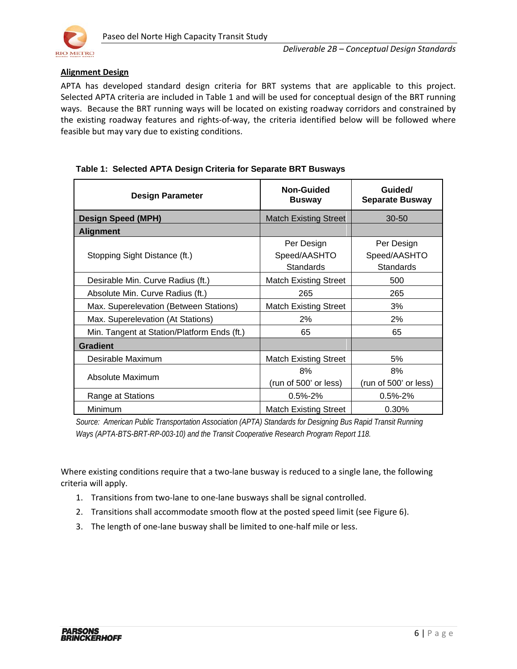

## **Alignment Design**

APTA has developed standard design criteria for BRT systems that are applicable to this project. Selected APTA criteria are included in Table 1 and will be used for conceptual design of the BRT running ways. Because the BRT running ways will be located on existing roadway corridors and constrained by the existing roadway features and rights-of-way, the criteria identified below will be followed where feasible but may vary due to existing conditions.

#### **Design Parameter Non-Guided**<br> **Design Parameter Busway Guided/ Separate Busway Design Speed (MPH)** Match Existing Street 30-50 **Alignment** Stopping Sight Distance (ft.) Per Design Speed/AASHTO **Standards** Per Design Speed/AASHTO **Standards** Desirable Min. Curve Radius (ft.) The Match Existing Street 1 and 500 Absolute Min. Curve Radius (ft.)  $265$  265 Max. Superelevation (Between Stations) | Match Existing Street | 3% Max. Superelevation (At Stations)  $\begin{array}{ccc} \hline \end{array}$  2% and 2% Min. Tangent at Station/Platform Ends (ft.) 65 65 65 **Gradient** Desirable Maximum Match Existing Street 1 5% Absolute Maximum 8% (run of 500' or less) 8% (run of 500' or less) Range at Stations  $\begin{array}{ccc} \vert & 0.5\% \text{-} 2\% \end{array}$  0.5%-2% Minimum **Match Existing Street** 1 0.30%

## **Table 1: Selected APTA Design Criteria for Separate BRT Busways**

*Source: American Public Transportation Association (APTA) Standards for Designing Bus Rapid Transit Running Ways (APTA-BTS-BRT-RP-003-10) and the Transit Cooperative Research Program Report 118.* 

Where existing conditions require that a two-lane busway is reduced to a single lane, the following criteria will apply.

- 1. Transitions from two-lane to one-lane busways shall be signal controlled.
- 2. Transitions shall accommodate smooth flow at the posted speed limit (see Figure 6).
- 3. The length of one-lane busway shall be limited to one-half mile or less.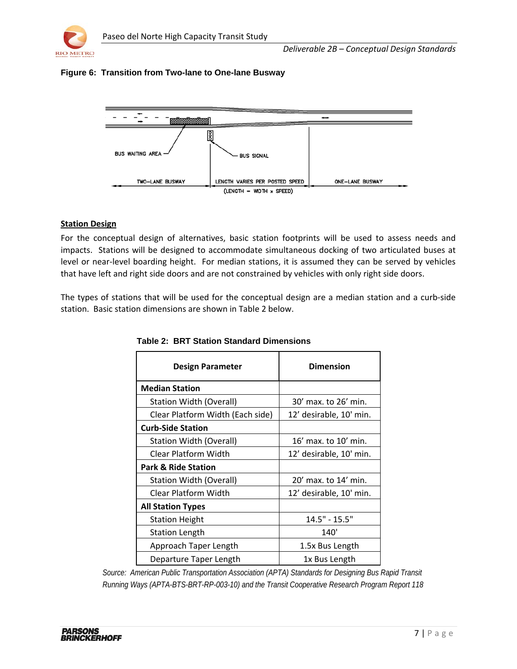

## **Figure 6: Transition from Two-lane to One-lane Busway**



#### **Station Design**

For the conceptual design of alternatives, basic station footprints will be used to assess needs and impacts. Stations will be designed to accommodate simultaneous docking of two articulated buses at level or near-level boarding height. For median stations, it is assumed they can be served by vehicles that have left and right side doors and are not constrained by vehicles with only right side doors.

The types of stations that will be used for the conceptual design are a median station and a curb-side station. Basic station dimensions are shown in Table 2 below.

| Design Parameter                 | <b>Dimension</b>        |  |
|----------------------------------|-------------------------|--|
| <b>Median Station</b>            |                         |  |
| Station Width (Overall)          | 30' max. to 26' min.    |  |
| Clear Platform Width (Each side) | 12' desirable, 10' min. |  |
| <b>Curb-Side Station</b>         |                         |  |
| Station Width (Overall)          | 16' max. to 10' min.    |  |
| <b>Clear Platform Width</b>      | 12' desirable, 10' min. |  |
| <b>Park &amp; Ride Station</b>   |                         |  |
| Station Width (Overall)          | 20' max. to 14' min.    |  |
| <b>Clear Platform Width</b>      | 12' desirable, 10' min. |  |
| <b>All Station Types</b>         |                         |  |
| <b>Station Height</b>            | $14.5" - 15.5"$         |  |
| <b>Station Length</b>            | 140'                    |  |
| Approach Taper Length            | 1.5x Bus Length         |  |
| Departure Taper Length           | 1x Bus Length           |  |

**Table 2: BRT Station Standard Dimensions**

*Source: American Public Transportation Association (APTA) Standards for Designing Bus Rapid Transit Running Ways (APTA-BTS-BRT-RP-003-10) and the Transit Cooperative Research Program Report 118*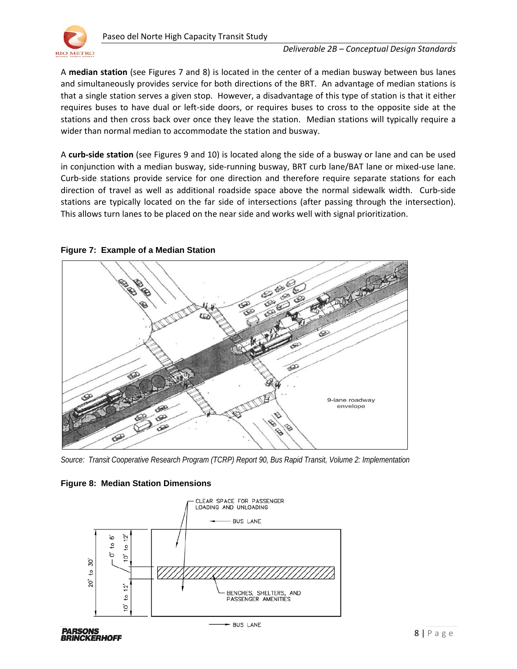

A **median station** (see Figures 7 and 8) is located in the center of a median busway between bus lanes and simultaneously provides service for both directions of the BRT. An advantage of median stations is that a single station serves a given stop. However, a disadvantage of this type of station is that it either requires buses to have dual or left-side doors, or requires buses to cross to the opposite side at the stations and then cross back over once they leave the station. Median stations will typically require a wider than normal median to accommodate the station and busway.

A **curb-side station** (see Figures 9 and 10) is located along the side of a busway or lane and can be used in conjunction with a median busway, side-running busway, BRT curb lane/BAT lane or mixed-use lane. Curb-side stations provide service for one direction and therefore require separate stations for each direction of travel as well as additional roadside space above the normal sidewalk width. Curb-side stations are typically located on the far side of intersections (after passing through the intersection). This allows turn lanes to be placed on the near side and works well with signal prioritization.



#### **Figure 7: Example of a Median Station**

*Source: Transit Cooperative Research Program (TCRP) Report 90, Bus Rapid Transit, Volume 2: Implementation*

#### **Figure 8: Median Station Dimensions**

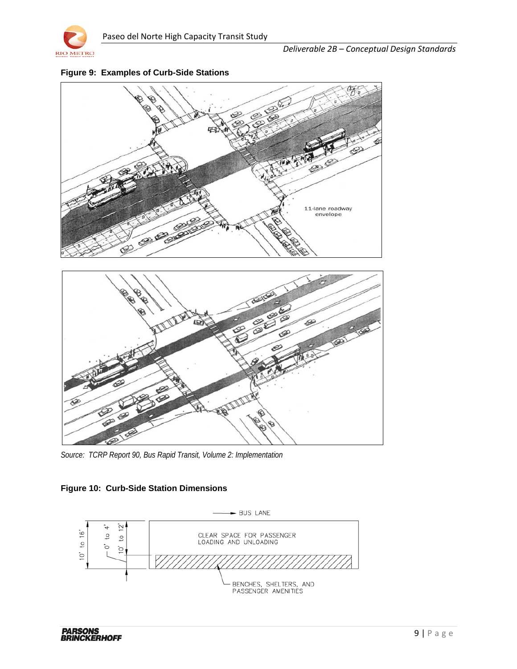



**Figure 9: Examples of Curb-Side Stations**

*Source: TCRP Report 90, Bus Rapid Transit, Volume 2: Implementation*

## **Figure 10: Curb-Side Station Dimensions**

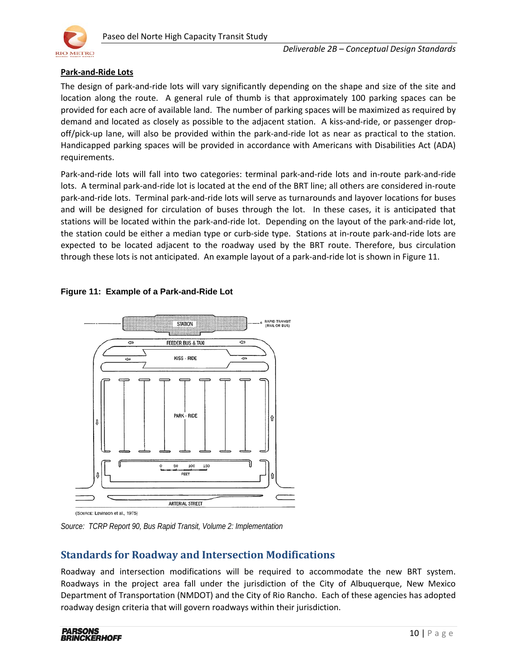

## **Park-and-Ride Lots**

The design of park-and-ride lots will vary significantly depending on the shape and size of the site and location along the route. A general rule of thumb is that approximately 100 parking spaces can be provided for each acre of available land. The number of parking spaces will be maximized as required by demand and located as closely as possible to the adjacent station. A kiss-and-ride, or passenger dropoff/pick-up lane, will also be provided within the park-and-ride lot as near as practical to the station. Handicapped parking spaces will be provided in accordance with Americans with Disabilities Act (ADA) requirements.

Park-and-ride lots will fall into two categories: terminal park-and-ride lots and in-route park-and-ride lots. A terminal park-and-ride lot is located at the end of the BRT line; all others are considered in-route park-and-ride lots. Terminal park-and-ride lots will serve as turnarounds and layover locations for buses and will be designed for circulation of buses through the lot. In these cases, it is anticipated that stations will be located within the park-and-ride lot. Depending on the layout of the park-and-ride lot, the station could be either a median type or curb-side type. Stations at in-route park-and-ride lots are expected to be located adjacent to the roadway used by the BRT route. Therefore, bus circulation through these lots is not anticipated. An example layout of a park-and-ride lot is shown in Figure 11.

## **Figure 11: Example of a Park-and-Ride Lot**



(Sounce: Levinson et al., 1975)

*Source: TCRP Report 90, Bus Rapid Transit, Volume 2: Implementation*

## **Standards for Roadway and Intersection Modifications**

Roadway and intersection modifications will be required to accommodate the new BRT system. Roadways in the project area fall under the jurisdiction of the City of Albuquerque, New Mexico Department of Transportation (NMDOT) and the City of Rio Rancho. Each of these agencies has adopted roadway design criteria that will govern roadways within their jurisdiction.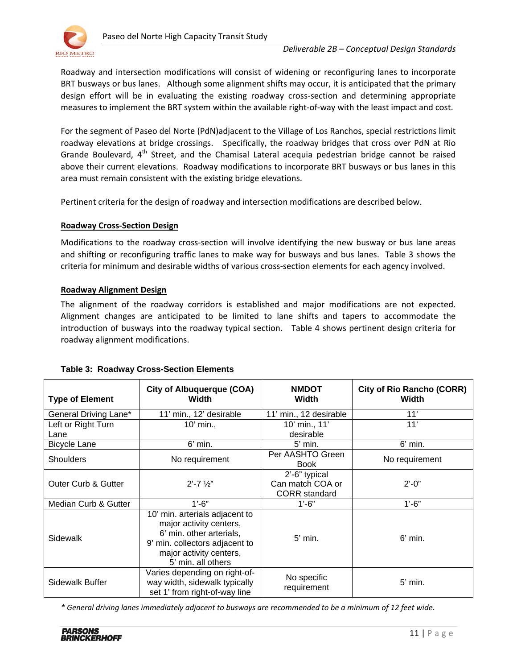

Roadway and intersection modifications will consist of widening or reconfiguring lanes to incorporate BRT busways or bus lanes. Although some alignment shifts may occur, it is anticipated that the primary design effort will be in evaluating the existing roadway cross-section and determining appropriate measures to implement the BRT system within the available right-of-way with the least impact and cost.

For the segment of Paseo del Norte (PdN)adjacent to the Village of Los Ranchos, special restrictions limit roadway elevations at bridge crossings. Specifically, the roadway bridges that cross over PdN at Rio Grande Boulevard, 4<sup>th</sup> Street, and the Chamisal Lateral acequia pedestrian bridge cannot be raised above their current elevations. Roadway modifications to incorporate BRT busways or bus lanes in this area must remain consistent with the existing bridge elevations.

Pertinent criteria for the design of roadway and intersection modifications are described below.

## **Roadway Cross-Section Design**

Modifications to the roadway cross-section will involve identifying the new busway or bus lane areas and shifting or reconfiguring traffic lanes to make way for busways and bus lanes. Table 3 shows the criteria for minimum and desirable widths of various cross-section elements for each agency involved.

## **Roadway Alignment Design**

The alignment of the roadway corridors is established and major modifications are not expected. Alignment changes are anticipated to be limited to lane shifts and tapers to accommodate the introduction of busways into the roadway typical section. Table 4 shows pertinent design criteria for roadway alignment modifications.

| <b>Type of Element</b>         | <b>City of Albuquerque (COA)</b><br>Width                                                                                                                                | <b>NMDOT</b><br><b>Width</b>                              | <b>City of Rio Rancho (CORR)</b><br>Width |
|--------------------------------|--------------------------------------------------------------------------------------------------------------------------------------------------------------------------|-----------------------------------------------------------|-------------------------------------------|
| General Driving Lane*          | 11' min., 12' desirable                                                                                                                                                  | 11' min., 12 desirable                                    | 11'                                       |
| Left or Right Turn             | 10' min.,                                                                                                                                                                | 10' min., 11'                                             | 11'                                       |
| Lane                           |                                                                                                                                                                          | desirable                                                 |                                           |
| <b>Bicycle Lane</b>            | $6'$ min.                                                                                                                                                                | $5'$ min.                                                 | $6'$ min.                                 |
| Shoulders                      | No requirement                                                                                                                                                           | Per AASHTO Green<br><b>Book</b>                           | No requirement                            |
| <b>Outer Curb &amp; Gutter</b> | $2' - 7'$ $\frac{1}{2}$                                                                                                                                                  | 2'-6" typical<br>Can match COA or<br><b>CORR</b> standard | $2' - 0''$                                |
| Median Curb & Gutter           | $1'-6"$                                                                                                                                                                  | $1'-6"$                                                   | $1'-6"$                                   |
| Sidewalk                       | 10' min. arterials adjacent to<br>major activity centers,<br>6' min. other arterials,<br>9' min. collectors adjacent to<br>major activity centers,<br>5' min. all others | $5'$ min.                                                 | $6'$ min.                                 |
| Sidewalk Buffer                | Varies depending on right-of-<br>way width, sidewalk typically<br>set 1' from right-of-way line                                                                          | No specific<br>requirement                                | $5'$ min.                                 |

#### **Table 3: Roadway Cross-Section Elements**

*\* General driving lanes immediately adjacent to busways are recommended to be a minimum of 12 feet wide.*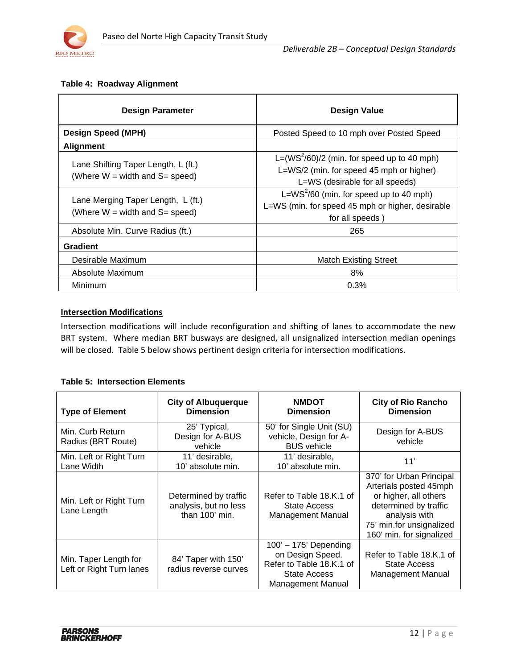

## **Table 4: Roadway Alignment**

| <b>Design Parameter</b>                                                     | <b>Design Value</b>                                                                                                          |  |
|-----------------------------------------------------------------------------|------------------------------------------------------------------------------------------------------------------------------|--|
| <b>Design Speed (MPH)</b>                                                   | Posted Speed to 10 mph over Posted Speed                                                                                     |  |
| <b>Alignment</b>                                                            |                                                                                                                              |  |
| Lane Shifting Taper Length, L (ft.)<br>(Where $W = width$ and $S = speed$ ) | L= $(WS2/60)/2$ (min. for speed up to 40 mph)<br>L=WS/2 (min. for speed 45 mph or higher)<br>L=WS (desirable for all speeds) |  |
| Lane Merging Taper Length, L (ft.)<br>(Where $W = width$ and $S = speed$ )  | L=WS $^{2}$ /60 (min. for speed up to 40 mph)<br>L=WS (min. for speed 45 mph or higher, desirable<br>for all speeds)         |  |
| Absolute Min. Curve Radius (ft.)                                            | 265                                                                                                                          |  |
| <b>Gradient</b>                                                             |                                                                                                                              |  |
| Desirable Maximum                                                           | <b>Match Existing Street</b>                                                                                                 |  |
| Absolute Maximum                                                            | 8%                                                                                                                           |  |
| Minimum                                                                     | 0.3%                                                                                                                         |  |

## **Intersection Modifications**

Intersection modifications will include reconfiguration and shifting of lanes to accommodate the new BRT system. Where median BRT busways are designed, all unsignalized intersection median openings will be closed. Table 5 below shows pertinent design criteria for intersection modifications.

## **Table 5: Intersection Elements**

| <b>Type of Element</b>                            | <b>City of Albuquerque</b><br><b>Dimension</b>                   | <b>NMDOT</b><br><b>Dimension</b>                                                                             | <b>City of Rio Rancho</b><br><b>Dimension</b>                                                                                                                                 |
|---------------------------------------------------|------------------------------------------------------------------|--------------------------------------------------------------------------------------------------------------|-------------------------------------------------------------------------------------------------------------------------------------------------------------------------------|
| Min. Curb Return<br>Radius (BRT Route)            | 25' Typical,<br>Design for A-BUS<br>vehicle                      | 50' for Single Unit (SU)<br>vehicle, Design for A-<br><b>BUS</b> vehicle                                     | Design for A-BUS<br>vehicle                                                                                                                                                   |
| Min. Left or Right Turn<br>Lane Width             | 11' desirable,<br>10' absolute min.                              | 11' desirable,<br>10' absolute min.                                                                          | 11'                                                                                                                                                                           |
| Min. Left or Right Turn<br>Lane Length            | Determined by traffic<br>analysis, but no less<br>than 100' min. | Refer to Table 18.K.1 of<br>State Access<br><b>Management Manual</b>                                         | 370' for Urban Principal<br>Arterials posted 45mph<br>or higher, all others<br>determined by traffic<br>analysis with<br>75' min.for unsignalized<br>160' min. for signalized |
| Min. Taper Length for<br>Left or Right Turn lanes | 84' Taper with 150'<br>radius reverse curves                     | $100' - 175'$ Depending<br>on Design Speed.<br>Refer to Table 18.K.1 of<br>State Access<br>Management Manual | Refer to Table 18.K.1 of<br><b>State Access</b><br><b>Management Manual</b>                                                                                                   |